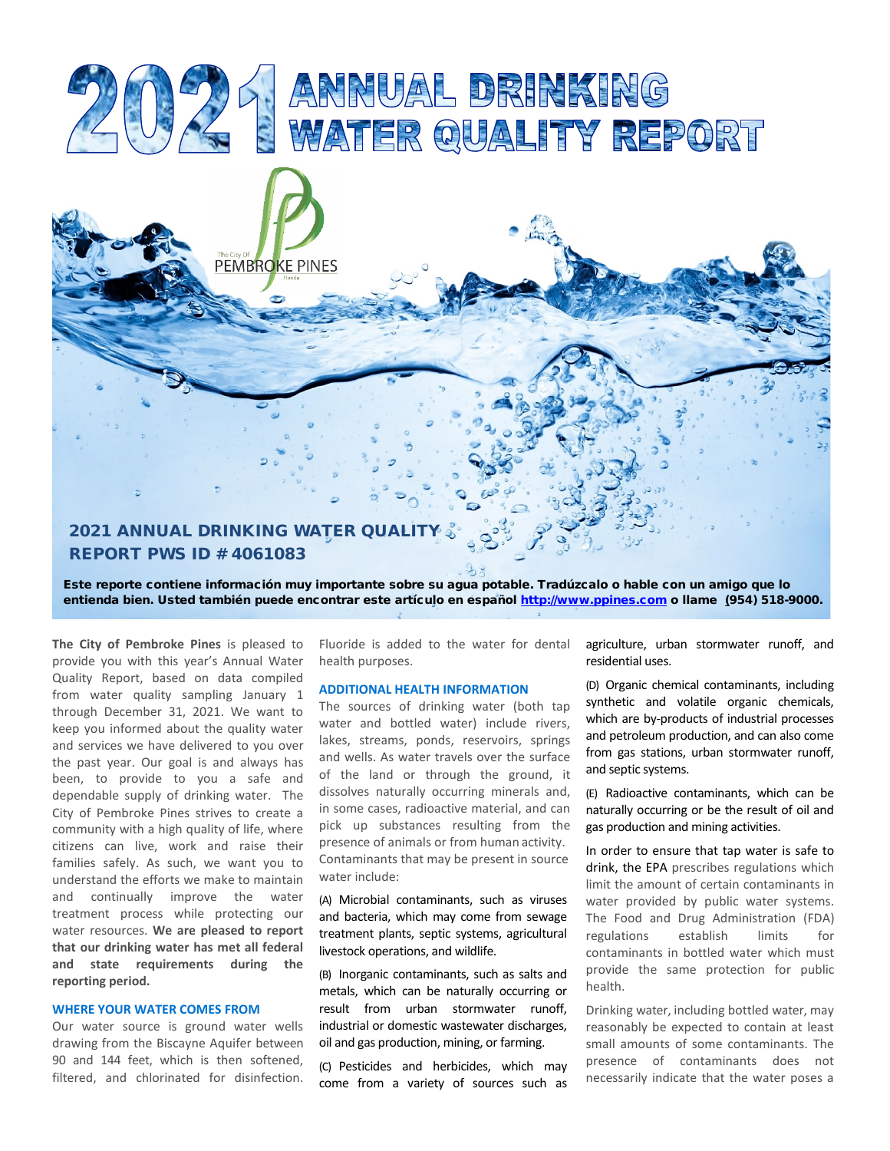

Este reporte contiene información muy importante sobre su agua potable. Tradúzcalo o hable con un amigo que lo entienda bien. Usted también puede encontrar este artículo en español [http://www.ppines.com](http://www.ppines.com/) o llame (954) 518-9000.

**The City of Pembroke Pines** is pleased to provide you with this year's Annual Water Quality Report, based on data compiled from water quality sampling January 1 through December 31, 2021. We want to keep you informed about the quality water and services we have delivered to you over the past year. Our goal is and always has been, to provide to you a safe and dependable supply of drinking water. The City of Pembroke Pines strives to create a community with a high quality of life, where citizens can live, work and raise their families safely. As such, we want you to understand the efforts we make to maintain and continually improve the water treatment process while protecting our water resources. **We are pleased to report that our drinking water has met all federal and state requirements during the reporting period.**

### **WHERE YOUR WATER COMES FROM**

Our water source is ground water wells drawing from the Biscayne Aquifer between 90 and 144 feet, which is then softened, filtered, and chlorinated for disinfection. Fluoride is added to the water for dental health purposes.

## **ADDITIONAL HEALTH INFORMATION**

The sources of drinking water (both tap water and bottled water) include rivers, lakes, streams, ponds, reservoirs, springs and wells. As water travels over the surface of the land or through the ground, it dissolves naturally occurring minerals and, in some cases, radioactive material, and can pick up substances resulting from the presence of animals or from human activity. Contaminants that may be present in source water include:

(A) Microbial contaminants, such as viruses and bacteria, which may come from sewage treatment plants, septic systems, agricultural livestock operations, and wildlife.

(B) Inorganic contaminants, such as salts and metals, which can be naturally occurring or result from urban stormwater runoff, industrial or domestic wastewater discharges, oil and gas production, mining, or farming.

(C) Pesticides and herbicides, which may come from a variety of sources such as agriculture, urban stormwater runoff, and residential uses.

(D) Organic chemical contaminants, including synthetic and volatile organic chemicals, which are by-products of industrial processes and petroleum production, and can also come from gas stations, urban stormwater runoff, and septic systems.

(E) Radioactive contaminants, which can be naturally occurring or be the result of oil and gas production and mining activities.

In order to ensure that tap water is safe to drink, the EPA prescribes regulations which limit the amount of certain contaminants in water provided by public water systems. The Food and Drug Administration (FDA) regulations establish limits for contaminants in bottled water which must provide the same protection for public health.

Drinking water, including bottled water, may reasonably be expected to contain at least small amounts of some contaminants. The presence of contaminants does not necessarily indicate that the water poses a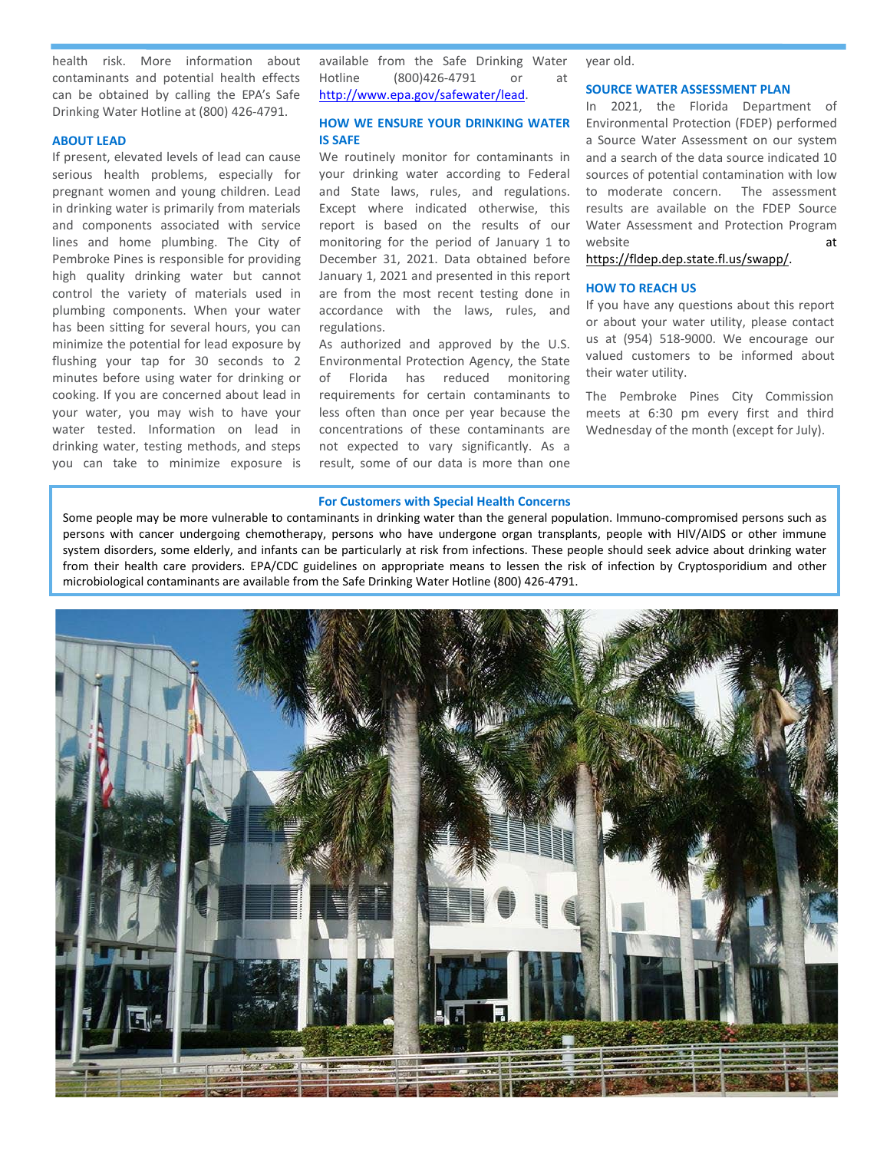health risk. More information about contaminants and potential health effects can be obtained by calling the EPA's Safe Drinking Water Hotline at (800) 426-4791.

#### **ABOUT LEAD**

If present, elevated levels of lead can cause serious health problems, especially for pregnant women and young children. Lead in drinking water is primarily from materials and components associated with service lines and home plumbing. The City of Pembroke Pines is responsible for providing high quality drinking water but cannot control the variety of materials used in plumbing components. When your water has been sitting for several hours, you can minimize the potential for lead exposure by flushing your tap for 30 seconds to 2 minutes before using water for drinking or cooking. If you are concerned about lead in your water, you may wish to have your water tested. Information on lead in drinking water, testing methods, and steps you can take to minimize exposure is available from the Safe Drinking Water Hotline (800)426-4791 or at [http://www.epa.gov/safewater/lead.](http://www.epa.gov/safewater/lead)

## **HOW WE ENSURE YOUR DRINKING WATER IS SAFE**

We routinely monitor for contaminants in your drinking water according to Federal and State laws, rules, and regulations. Except where indicated otherwise, this report is based on the results of our monitoring for the period of January 1 to December 31, 2021. Data obtained before January 1, 2021 and presented in this report are from the most recent testing done in accordance with the laws, rules, and regulations.

As authorized and approved by the U.S. Environmental Protection Agency, the State of Florida has reduced monitoring requirements for certain contaminants to less often than once per year because the concentrations of these contaminants are not expected to vary significantly. As a result, some of our data is more than one year old.

#### **SOURCE WATER ASSESSMENT PLAN**

In 2021, the Florida Department of Environmental Protection (FDEP) performed a Source Water Assessment on our system and a search of the data source indicated 10 sources of potential contamination with low to moderate concern. The assessment results are available on the FDEP Source Water Assessment and Protection Program website at a control of the set of the set of the set of the set of the set of the set of the set of the set of the set of the set of the set of the set of the set of the set of the set of the set of the set of the set of

#### [https://fldep.dep.state.fl.us/swapp/.](https://fldep.dep.state.fl.us/swapp/)

### **HOW TO REACH US**

If you have any questions about this report or about your water utility, please contact us at (954) 518-9000. We encourage our valued customers to be informed about their water utility.

The Pembroke Pines City Commission meets at 6:30 pm every first and third Wednesday of the month (except for July).

#### **For Customers with Special Health Concerns**

Some people may be more vulnerable to contaminants in drinking water than the general population. Immuno-compromised persons such as persons with cancer undergoing chemotherapy, persons who have undergone organ transplants, people with HIV/AIDS or other immune system disorders, some elderly, and infants can be particularly at risk from infections. These people should seek advice about drinking water from their health care providers. EPA/CDC guidelines on appropriate means to lessen the risk of infection by Cryptosporidium and other microbiological contaminants are available from the Safe Drinking Water Hotline (800) 426-4791.